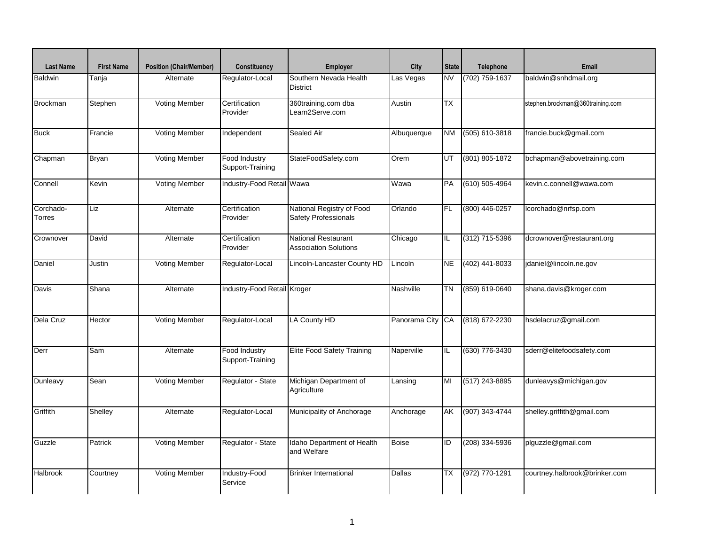| <b>Last Name</b>    | <b>First Name</b> | <b>Position (Chair/Member)</b> | <b>Constituency</b>               | <b>Employer</b>                                     | City             | <b>State</b> | <b>Telephone</b>   | Email                            |
|---------------------|-------------------|--------------------------------|-----------------------------------|-----------------------------------------------------|------------------|--------------|--------------------|----------------------------------|
| <b>Baldwin</b>      | Tanja             | Alternate                      | Regulator-Local                   | Southern Nevada Health<br><b>District</b>           | Las Vegas        | <b>NV</b>    | (702) 759-1637     | baldwin@snhdmail.org             |
| <b>Brockman</b>     | Stephen           | <b>Voting Member</b>           | Certification<br>Provider         | 360training.com dba<br>Learn2Serve.com              | Austin           | ТX           |                    | stephen.brockman@360training.com |
| <b>Buck</b>         | Francie           | <b>Voting Member</b>           | Independent                       | Sealed Air                                          | Albuquerque      | ΝM           | $(505)$ 610-3818   | francie.buck@gmail.com           |
| Chapman             | <b>Bryan</b>      | <b>Voting Member</b>           | Food Industry<br>Support-Training | StateFoodSafety.com                                 | Orem             | UT           | (801) 805-1872     | bchapman@abovetraining.com       |
| Connell             | Kevin             | <b>Voting Member</b>           | Industry-Food Retail Wawa         |                                                     | Wawa             | PA           | $(610) 505 - 4964$ | kevin.c.connell@wawa.com         |
| Corchado-<br>Torres | Liz               | Alternate                      | Certification<br>Provider         | National Registry of Food<br>Safety Professionals   | Orlando          | FL.          | (800) 446-0257     | lcorchado@nrfsp.com              |
| Crownover           | David             | Alternate                      | Certification<br>Provider         | National Restaurant<br><b>Association Solutions</b> | Chicago          | IL.          | (312) 715-5396     | dcrownover@restaurant.org        |
| Daniel              | Justin            | <b>Voting Member</b>           | Regulator-Local                   | Lincoln-Lancaster County HD                         | Lincoln          | <b>NE</b>    | $(402)$ 441-8033   | jdaniel@lincoln.ne.gov           |
| Davis               | Shana             | Alternate                      | Industry-Food Retail Kroger       |                                                     | Nashville        | ΤN           | $(859) 619 - 0640$ | shana.davis@kroger.com           |
| Dela Cruz           | Hector            | <b>Voting Member</b>           | Regulator-Local                   | LA County HD                                        | Panorama City CA |              | (818) 672-2230     | hsdelacruz@gmail.com             |
| Derr                | Sam               | Alternate                      | Food Industry<br>Support-Training | <b>Elite Food Safety Training</b>                   | Naperville       | IL.          | (630) 776-3430     | sderr@elitefoodsafety.com        |
| Dunleavy            | Sean              | <b>Voting Member</b>           | Regulator - State                 | Michigan Department of<br>Agriculture               | Lansing          | MI           | (517) 243-8895     | dunleavys@michigan.gov           |
| Griffith            | Shelley           | Alternate                      | Regulator-Local                   | Municipality of Anchorage                           | Anchorage        | AK           | (907) 343-4744     | shelley.griffith@gmail.com       |
| Guzzle              | Patrick           | <b>Voting Member</b>           | Regulator - State                 | Idaho Department of Health<br>and Welfare           | <b>Boise</b>     | ID           | (208) 334-5936     | plguzzle@gmail.com               |
| Halbrook            | Courtney          | Voting Member                  | Industry-Food<br>Service          | <b>Brinker International</b>                        | Dallas           | TX           | (972) 770-1291     | courtney.halbrook@brinker.com    |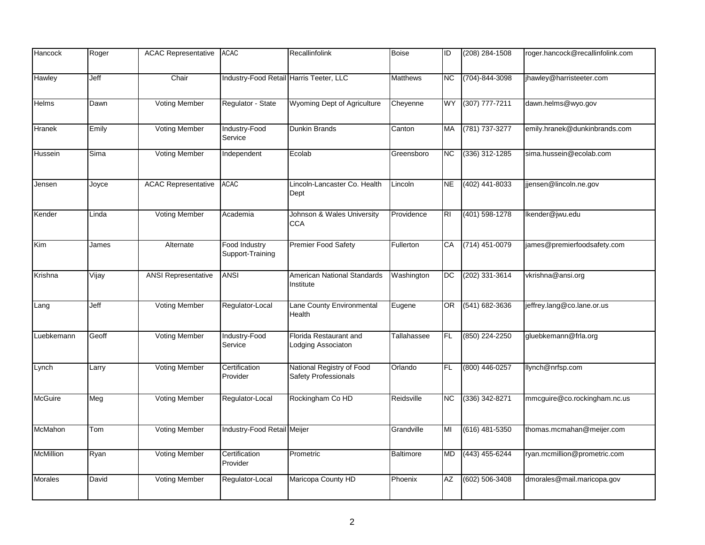| Hancock        | Roger | <b>ACAC Representative</b> | <b>ACAC</b>                             | Recallinfolink                                    | <b>Boise</b> | ID        | $(208)$ 284-1508 | roger.hancock@recallinfolink.com |
|----------------|-------|----------------------------|-----------------------------------------|---------------------------------------------------|--------------|-----------|------------------|----------------------------------|
| Hawley         | Jeff  | Chair                      | Industry-Food Retail Harris Teeter, LLC |                                                   | Matthews     | <b>NC</b> | (704)-844-3098   | jhawley@harristeeter.com         |
| Helms          | Dawn  | <b>Voting Member</b>       | Regulator - State                       | Wyoming Dept of Agriculture                       | Cheyenne     | <b>WY</b> | $(307)$ 777-7211 | dawn.helms@wyo.gov               |
| Hranek         | Emily | <b>Voting Member</b>       | Industry-Food<br>Service                | <b>Dunkin Brands</b>                              | Canton       | <b>MA</b> | (781) 737-3277   | emily.hranek@dunkinbrands.com    |
| Hussein        | Sima  | <b>Voting Member</b>       | Independent                             | Ecolab                                            | Greensboro   | <b>NC</b> | (336) 312-1285   | sima.hussein@ecolab.com          |
| Jensen         | Joyce | <b>ACAC Representative</b> | <b>ACAC</b>                             | Lincoln-Lancaster Co. Health<br>Dept              | Lincoln      | <b>NE</b> | $(402)$ 441-8033 | jjensen@lincoln.ne.gov           |
| Kender         | Linda | <b>Voting Member</b>       | Academia                                | Johnson & Wales University<br><b>CCA</b>          | Providence   | <b>RI</b> | $(401)$ 598-1278 | Ikender@jwu.edu                  |
| Kim            | James | Alternate                  | Food Industry<br>Support-Training       | Premier Food Safety                               | Fullerton    | CA        | (714) 451-0079   | james@premierfoodsafety.com      |
| Krishna        | Vijay | <b>ANSI Representative</b> | <b>ANSI</b>                             | American National Standards<br>Institute          | Washington   | DC        | (202) 331-3614   | vkrishna@ansi.org                |
| Lang           | Jeff  | Voting Member              | Regulator-Local                         | Lane County Environmental<br>Health               | Eugene       | IOR.      | (541) 682-3636   | jeffrey.lang@co.lane.or.us       |
| Luebkemann     | Geoff | <b>Voting Member</b>       | Industry-Food<br>Service                | Florida Restaurant and<br>Lodging Associaton      | Tallahassee  | <b>FL</b> | (850) 224-2250   | gluebkemann@frla.org             |
| Lynch          | Larry | <b>Voting Member</b>       | Certification<br>Provider               | National Registry of Food<br>Safety Professionals | Orlando      | FL        | $(800)$ 446-0257 | llynch@nrfsp.com                 |
| McGuire        | Meg   | <b>Voting Member</b>       | Regulator-Local                         | Rockingham Co HD                                  | Reidsville   | <b>NC</b> | (336) 342-8271   | mmcguire@co.rockingham.nc.us     |
| McMahon        | Tom   | <b>Voting Member</b>       | Industry-Food Retail Meijer             |                                                   | Grandville   | MI        | $(616)$ 481-5350 | thomas.mcmahan@meijer.com        |
| McMillion      | Ryan  | Voting Member              | Certification<br>Provider               | Prometric                                         | Baltimore    | <b>MD</b> | (443) 455-6244   | ryan.mcmillion@prometric.com     |
| <b>Morales</b> | David | <b>Voting Member</b>       | Regulator-Local                         | Maricopa County HD                                | Phoenix      | AZ        | (602) 506-3408   | dmorales@mail.maricopa.gov       |